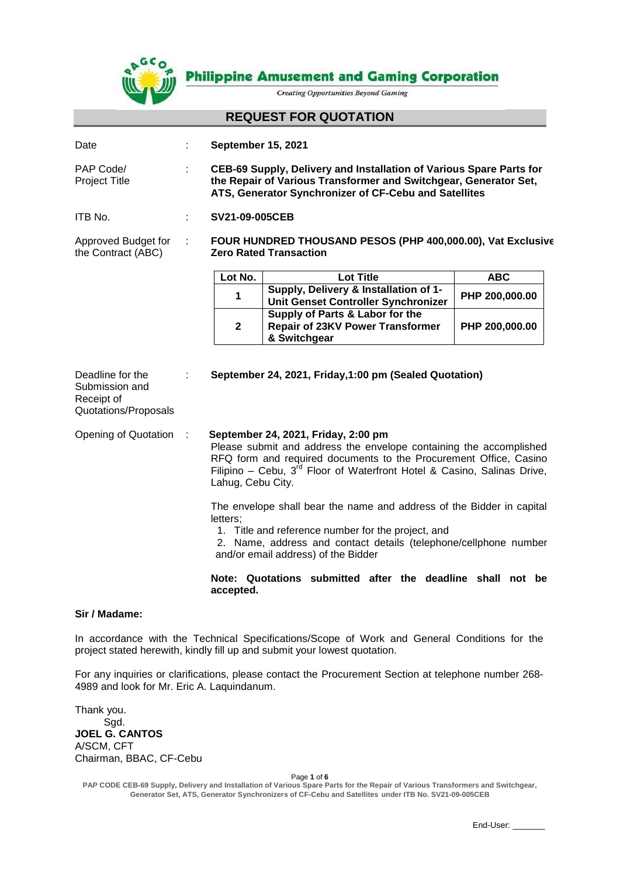

**Philippine Amusement and Gaming Corporation** 

**Creating Opportunities Beyond Gaming** 

## **REQUEST FOR QUOTATION**

| Date                                                                     | <b>September 15, 2021</b>                                                                                                                                                                                                                                                           |                                                                                            |                |
|--------------------------------------------------------------------------|-------------------------------------------------------------------------------------------------------------------------------------------------------------------------------------------------------------------------------------------------------------------------------------|--------------------------------------------------------------------------------------------|----------------|
| PAP Code/<br><b>Project Title</b>                                        | CEB-69 Supply, Delivery and Installation of Various Spare Parts for<br>the Repair of Various Transformer and Switchgear, Generator Set,<br>ATS, Generator Synchronizer of CF-Cebu and Satellites                                                                                    |                                                                                            |                |
| ITB No.                                                                  | <b>SV21-09-005CEB</b>                                                                                                                                                                                                                                                               |                                                                                            |                |
| Approved Budget for<br>the Contract (ABC)                                | FOUR HUNDRED THOUSAND PESOS (PHP 400,000.00), Vat Exclusive<br><b>Zero Rated Transaction</b>                                                                                                                                                                                        |                                                                                            |                |
|                                                                          | Lot No.                                                                                                                                                                                                                                                                             | <b>Lot Title</b>                                                                           | <b>ABC</b>     |
|                                                                          | 1                                                                                                                                                                                                                                                                                   | Supply, Delivery & Installation of 1-<br>Unit Genset Controller Synchronizer               | PHP 200,000.00 |
|                                                                          | $\mathbf{2}$                                                                                                                                                                                                                                                                        | Supply of Parts & Labor for the<br><b>Repair of 23KV Power Transformer</b><br>& Switchgear | PHP 200,000.00 |
| Deadline for the<br>Submission and<br>Receipt of<br>Quotations/Proposals |                                                                                                                                                                                                                                                                                     | September 24, 2021, Friday, 1:00 pm (Sealed Quotation)                                     |                |
| Opening of Quotation                                                     | September 24, 2021, Friday, 2:00 pm<br>Please submit and address the envelope containing the accomplished<br>RFQ form and required documents to the Procurement Office, Casino<br>Filipino – Cebu, $3^{rd}$ Floor of Waterfront Hotel & Casino, Salinas Drive,<br>Lahug, Cebu City. |                                                                                            |                |
|                                                                          | The envelope shall bear the name and address of the Bidder in capital<br>letters:<br>1. Title and reference number for the project, and<br>2 Name address and contact details (telephone/collphone number                                                                           |                                                                                            |                |

2. Name, address and contact details (telephone/cellphone number and/or email address) of the Bidder

#### **Note: Quotations submitted after the deadline shall not be accepted.**

#### **Sir / Madame:**

In accordance with the Technical Specifications/Scope of Work and General Conditions for the project stated herewith, kindly fill up and submit your lowest quotation.

For any inquiries or clarifications, please contact the Procurement Section at telephone number 268- 4989 and look for Mr. Eric A. Laquindanum.

Thank you. Sgd. **JOEL G. CANTOS** A/SCM, CFT Chairman, BBAC, CF-Cebu

Page **1** of **6**

**PAP CODE CEB-69 Supply, Delivery and Installation of Various Spare Parts for the Repair of Various Transformers and Switchgear, Generator Set, ATS, Generator Synchronizers of CF-Cebu and Satellites under ITB No. SV21-09-005CEB**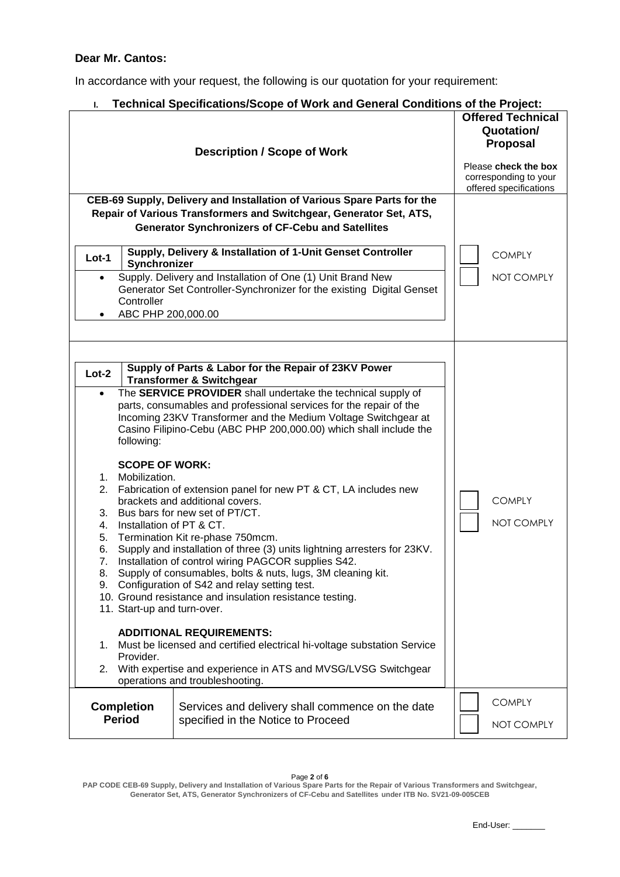# **Dear Mr. Cantos:**

In accordance with your request, the following is our quotation for your requirement:

| Technical Specifications/Scope of Work and General Conditions of the Project:<br>L.                                                                                                                                                                                                                                                                                                                                                                                                                                                                                                                                                                                                                                                                                                                                                                                                                                                                                                                                                                                                                                                                                                                                                                                      |                                                                                                                                                                                                                                                                          |                             |  |  |
|--------------------------------------------------------------------------------------------------------------------------------------------------------------------------------------------------------------------------------------------------------------------------------------------------------------------------------------------------------------------------------------------------------------------------------------------------------------------------------------------------------------------------------------------------------------------------------------------------------------------------------------------------------------------------------------------------------------------------------------------------------------------------------------------------------------------------------------------------------------------------------------------------------------------------------------------------------------------------------------------------------------------------------------------------------------------------------------------------------------------------------------------------------------------------------------------------------------------------------------------------------------------------|--------------------------------------------------------------------------------------------------------------------------------------------------------------------------------------------------------------------------------------------------------------------------|-----------------------------|--|--|
|                                                                                                                                                                                                                                                                                                                                                                                                                                                                                                                                                                                                                                                                                                                                                                                                                                                                                                                                                                                                                                                                                                                                                                                                                                                                          | <b>Offered Technical</b><br>Quotation/<br><b>Proposal</b><br>Please check the box<br>corresponding to your<br>offered specifications                                                                                                                                     |                             |  |  |
|                                                                                                                                                                                                                                                                                                                                                                                                                                                                                                                                                                                                                                                                                                                                                                                                                                                                                                                                                                                                                                                                                                                                                                                                                                                                          | CEB-69 Supply, Delivery and Installation of Various Spare Parts for the<br>Repair of Various Transformers and Switchgear, Generator Set, ATS,<br><b>Generator Synchronizers of CF-Cebu and Satellites</b><br>Supply, Delivery & Installation of 1-Unit Genset Controller | <b>COMPLY</b>               |  |  |
| $Lot-1$<br>Synchronizer<br>Controller<br>ABC PHP 200,000.00                                                                                                                                                                                                                                                                                                                                                                                                                                                                                                                                                                                                                                                                                                                                                                                                                                                                                                                                                                                                                                                                                                                                                                                                              | Supply. Delivery and Installation of One (1) Unit Brand New<br>Generator Set Controller-Synchronizer for the existing Digital Genset                                                                                                                                     | NOT COMPLY                  |  |  |
| Supply of Parts & Labor for the Repair of 23KV Power<br>$Lot-2$<br><b>Transformer &amp; Switchgear</b><br>The SERVICE PROVIDER shall undertake the technical supply of<br>parts, consumables and professional services for the repair of the<br>Incoming 23KV Transformer and the Medium Voltage Switchgear at<br>Casino Filipino-Cebu (ABC PHP 200,000.00) which shall include the<br>following:<br><b>SCOPE OF WORK:</b><br>1. Mobilization.<br>2. Fabrication of extension panel for new PT & CT, LA includes new<br><b>COMPLY</b><br>brackets and additional covers.<br>3. Bus bars for new set of PT/CT.<br>NOT COMPLY<br>Installation of PT & CT.<br>4.<br>Termination Kit re-phase 750mcm.<br>5.<br>Supply and installation of three (3) units lightning arresters for 23KV.<br>6.<br>7. Installation of control wiring PAGCOR supplies S42.<br>8. Supply of consumables, bolts & nuts, lugs, 3M cleaning kit.<br>9. Configuration of S42 and relay setting test.<br>10. Ground resistance and insulation resistance testing.<br>11. Start-up and turn-over.<br><b>ADDITIONAL REQUIREMENTS:</b><br>Must be licensed and certified electrical hi-voltage substation Service<br>1.<br>Provider.<br>2. With expertise and experience in ATS and MVSG/LVSG Switchgear |                                                                                                                                                                                                                                                                          |                             |  |  |
| <b>Completion</b><br><b>Period</b>                                                                                                                                                                                                                                                                                                                                                                                                                                                                                                                                                                                                                                                                                                                                                                                                                                                                                                                                                                                                                                                                                                                                                                                                                                       | Services and delivery shall commence on the date<br>specified in the Notice to Proceed                                                                                                                                                                                   | <b>COMPLY</b><br>NOT COMPLY |  |  |

Page **2** of **6**

**PAP CODE CEB-69 Supply, Delivery and Installation of Various Spare Parts for the Repair of Various Transformers and Switchgear, Generator Set, ATS, Generator Synchronizers of CF-Cebu and Satellites under ITB No. SV21-09-005CEB**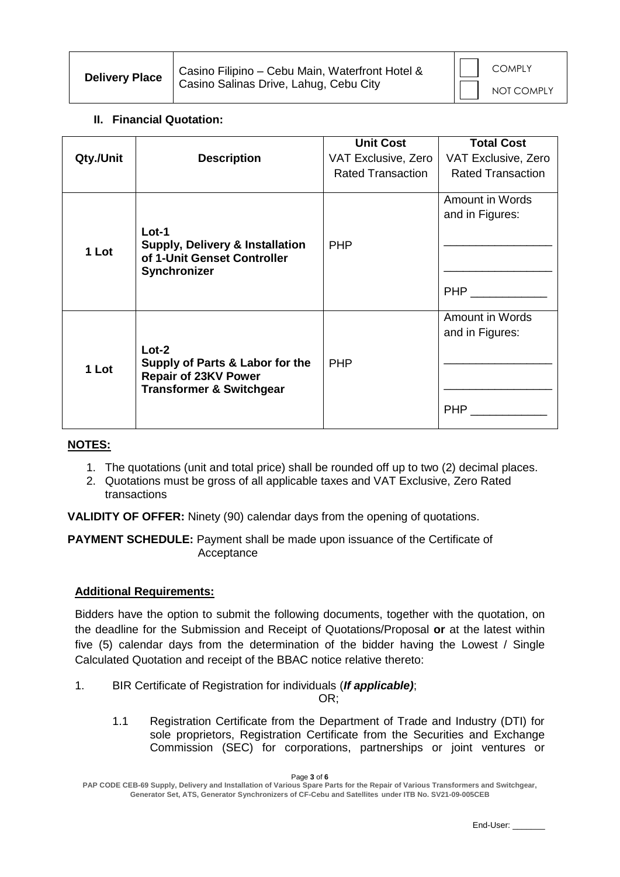| <b>Delivery Place</b> | Casino Filipino - Cebu Main, Waterfront Hotel & |  | <b>COMPLY</b> |
|-----------------------|-------------------------------------------------|--|---------------|
|                       | Casino Salinas Drive, Lahug, Cebu City          |  | NOT COMPLY    |

# **II. Financial Quotation:**

| Qty./Unit | <b>Description</b>                                                                                               | <b>Unit Cost</b><br>VAT Exclusive, Zero<br><b>Rated Transaction</b> | <b>Total Cost</b><br>VAT Exclusive, Zero<br><b>Rated Transaction</b> |
|-----------|------------------------------------------------------------------------------------------------------------------|---------------------------------------------------------------------|----------------------------------------------------------------------|
| 1 Lot     | $Lot-1$<br><b>Supply, Delivery &amp; Installation</b><br>of 1-Unit Genset Controller<br>Synchronizer             | <b>PHP</b>                                                          | Amount in Words<br>and in Figures:<br><b>PHP</b>                     |
| 1 Lot     | $Lot-2$<br>Supply of Parts & Labor for the<br><b>Repair of 23KV Power</b><br><b>Transformer &amp; Switchgear</b> | <b>PHP</b>                                                          | Amount in Words<br>and in Figures:<br><b>PHP</b>                     |

### **NOTES:**

- 1. The quotations (unit and total price) shall be rounded off up to two (2) decimal places.
- 2. Quotations must be gross of all applicable taxes and VAT Exclusive, Zero Rated transactions

**VALIDITY OF OFFER:** Ninety (90) calendar days from the opening of quotations.

**PAYMENT SCHEDULE:** Payment shall be made upon issuance of the Certificate of Acceptance

### **Additional Requirements:**

Bidders have the option to submit the following documents, together with the quotation, on the deadline for the Submission and Receipt of Quotations/Proposal **or** at the latest within five (5) calendar days from the determination of the bidder having the Lowest / Single Calculated Quotation and receipt of the BBAC notice relative thereto:

1. BIR Certificate of Registration for individuals (*If applicable)*;

OR;

1.1 Registration Certificate from the Department of Trade and Industry (DTI) for sole proprietors, Registration Certificate from the Securities and Exchange Commission (SEC) for corporations, partnerships or joint ventures or

Page **3** of **6**

**PAP CODE CEB-69 Supply, Delivery and Installation of Various Spare Parts for the Repair of Various Transformers and Switchgear, Generator Set, ATS, Generator Synchronizers of CF-Cebu and Satellites under ITB No. SV21-09-005CEB**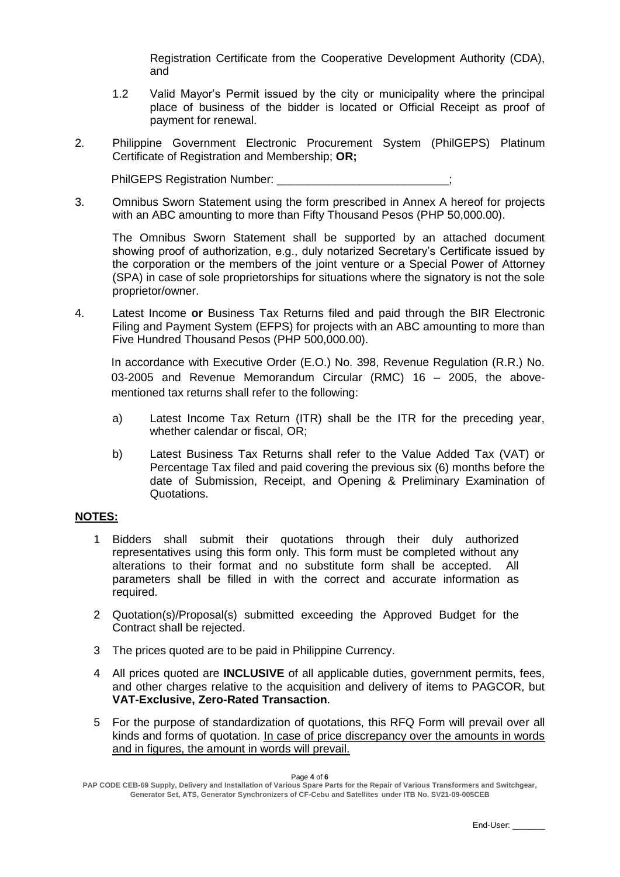Registration Certificate from the Cooperative Development Authority (CDA), and

- 1.2 Valid Mayor's Permit issued by the city or municipality where the principal place of business of the bidder is located or Official Receipt as proof of payment for renewal.
- 2. Philippine Government Electronic Procurement System (PhilGEPS) Platinum Certificate of Registration and Membership; **OR;**

PhilGEPS Registration Number:

3. Omnibus Sworn Statement using the form prescribed in Annex A hereof for projects with an ABC amounting to more than Fifty Thousand Pesos (PHP 50,000.00).

The Omnibus Sworn Statement shall be supported by an attached document showing proof of authorization, e.g., duly notarized Secretary's Certificate issued by the corporation or the members of the joint venture or a Special Power of Attorney (SPA) in case of sole proprietorships for situations where the signatory is not the sole proprietor/owner.

4. Latest Income **or** Business Tax Returns filed and paid through the BIR Electronic Filing and Payment System (EFPS) for projects with an ABC amounting to more than Five Hundred Thousand Pesos (PHP 500,000.00).

In accordance with Executive Order (E.O.) No. 398, Revenue Regulation (R.R.) No. 03-2005 and Revenue Memorandum Circular (RMC) 16 – 2005, the abovementioned tax returns shall refer to the following:

- a) Latest Income Tax Return (ITR) shall be the ITR for the preceding year, whether calendar or fiscal, OR;
- b) Latest Business Tax Returns shall refer to the Value Added Tax (VAT) or Percentage Tax filed and paid covering the previous six (6) months before the date of Submission, Receipt, and Opening & Preliminary Examination of Quotations.

# **NOTES:**

- 1 Bidders shall submit their quotations through their duly authorized representatives using this form only. This form must be completed without any alterations to their format and no substitute form shall be accepted. All parameters shall be filled in with the correct and accurate information as required.
- 2 Quotation(s)/Proposal(s) submitted exceeding the Approved Budget for the Contract shall be rejected.
- 3 The prices quoted are to be paid in Philippine Currency.
- 4 All prices quoted are **INCLUSIVE** of all applicable duties, government permits, fees, and other charges relative to the acquisition and delivery of items to PAGCOR, but **VAT-Exclusive, Zero-Rated Transaction**.
- 5 For the purpose of standardization of quotations, this RFQ Form will prevail over all kinds and forms of quotation. In case of price discrepancy over the amounts in words and in figures, the amount in words will prevail.

Page **4** of **6**

**PAP CODE CEB-69 Supply, Delivery and Installation of Various Spare Parts for the Repair of Various Transformers and Switchgear, Generator Set, ATS, Generator Synchronizers of CF-Cebu and Satellites under ITB No. SV21-09-005CEB**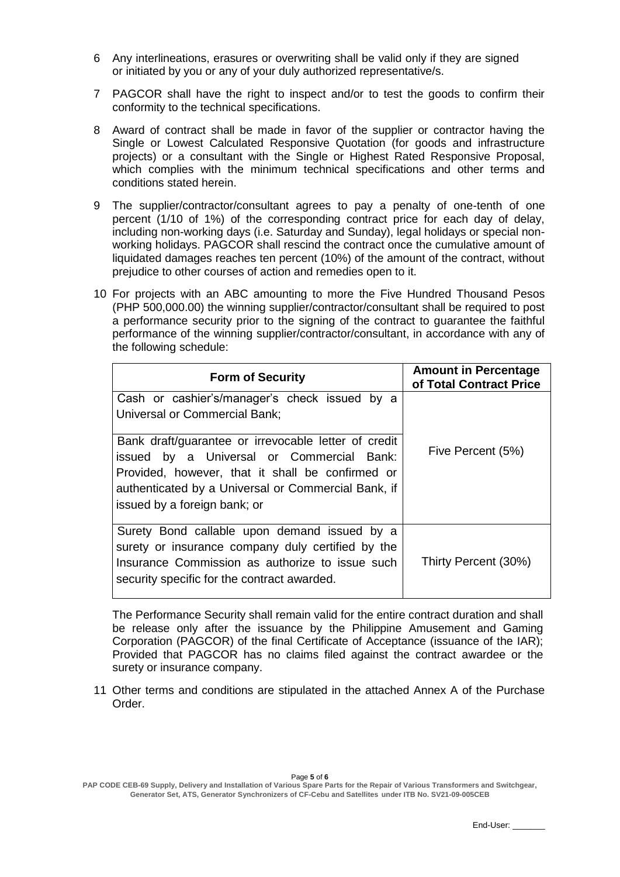- 6 Any interlineations, erasures or overwriting shall be valid only if they are signed or initiated by you or any of your duly authorized representative/s.
- 7 PAGCOR shall have the right to inspect and/or to test the goods to confirm their conformity to the technical specifications.
- 8 Award of contract shall be made in favor of the supplier or contractor having the Single or Lowest Calculated Responsive Quotation (for goods and infrastructure projects) or a consultant with the Single or Highest Rated Responsive Proposal, which complies with the minimum technical specifications and other terms and conditions stated herein.
- 9 The supplier/contractor/consultant agrees to pay a penalty of one-tenth of one percent (1/10 of 1%) of the corresponding contract price for each day of delay, including non-working days (i.e. Saturday and Sunday), legal holidays or special nonworking holidays. PAGCOR shall rescind the contract once the cumulative amount of liquidated damages reaches ten percent (10%) of the amount of the contract, without prejudice to other courses of action and remedies open to it.
- 10 For projects with an ABC amounting to more the Five Hundred Thousand Pesos (PHP 500,000.00) the winning supplier/contractor/consultant shall be required to post a performance security prior to the signing of the contract to guarantee the faithful performance of the winning supplier/contractor/consultant, in accordance with any of the following schedule:

| <b>Form of Security</b>                                                                                                                                                                                                                      | <b>Amount in Percentage</b><br>of Total Contract Price |
|----------------------------------------------------------------------------------------------------------------------------------------------------------------------------------------------------------------------------------------------|--------------------------------------------------------|
| Cash or cashier's/manager's check issued by a<br><b>Universal or Commercial Bank;</b>                                                                                                                                                        |                                                        |
| Bank draft/guarantee or irrevocable letter of credit<br>issued by a Universal or Commercial Bank:<br>Provided, however, that it shall be confirmed or<br>authenticated by a Universal or Commercial Bank, if<br>issued by a foreign bank; or | Five Percent (5%)                                      |
| Surety Bond callable upon demand issued by a<br>surety or insurance company duly certified by the<br>Insurance Commission as authorize to issue such<br>security specific for the contract awarded.                                          | Thirty Percent (30%)                                   |

The Performance Security shall remain valid for the entire contract duration and shall be release only after the issuance by the Philippine Amusement and Gaming Corporation (PAGCOR) of the final Certificate of Acceptance (issuance of the IAR); Provided that PAGCOR has no claims filed against the contract awardee or the surety or insurance company.

11 Other terms and conditions are stipulated in the attached Annex A of the Purchase Order.